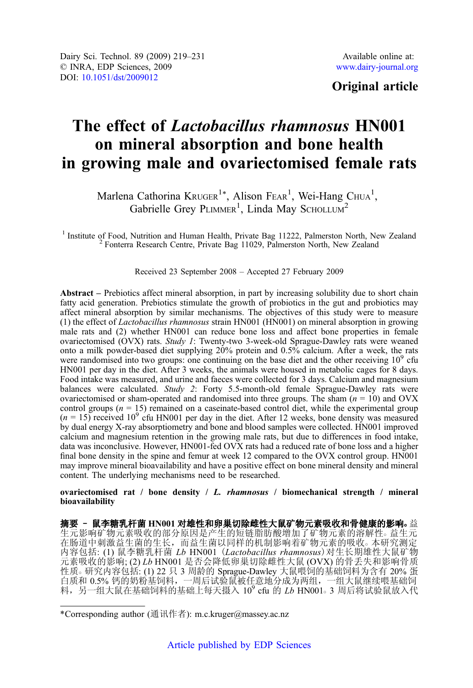# Original article

# The effect of Lactobacillus rhamnosus HN001 on mineral absorption and bone health in growing male and ovariectomised female rats

Marlena Cathorina Kruger<sup>1\*</sup>, Alison Fear<sup>1</sup>, Wei-Hang Chua<sup>1</sup>, Gabrielle Grey PLIMMER<sup>1</sup>, Linda May SCHOLLUM<sup>2</sup>

<sup>1</sup> Institute of Food, Nutrition and Human Health, Private Bag 11222, Palmerston North, New Zealand <sup>2</sup> Fonterra Research Centre, Private Bag 11029, Palmerston North, New Zealand

# Received 23 September 2008 – Accepted 27 February 2009

Abstract – Prebiotics affect mineral absorption, in part by increasing solubility due to short chain fatty acid generation. Prebiotics stimulate the growth of probiotics in the gut and probiotics may affect mineral absorption by similar mechanisms. The objectives of this study were to measure (1) the effect of Lactobacillus rhamnosus strain HN001 (HN001) on mineral absorption in growing male rats and (2) whether HN001 can reduce bone loss and affect bone properties in female ovariectomised (OVX) rats. Study 1: Twenty-two 3-week-old Sprague-Dawley rats were weaned onto a milk powder-based diet supplying 20% protein and 0.5% calcium. After a week, the rats were randomised into two groups: one continuing on the base diet and the other receiving  $10<sup>9</sup>$  cfu HN001 per day in the diet. After 3 weeks, the animals were housed in metabolic cages for 8 days. Food intake was measured, and urine and faeces were collected for 3 days. Calcium and magnesium balances were calculated. Study 2: Forty 5.5-month-old female Sprague-Dawley rats were ovariectomised or sham-operated and randomised into three groups. The sham  $(n = 10)$  and OVX control groups ( $n = 15$ ) remained on a caseinate-based control diet, while the experimental group  $(n = 15)$  received  $10<sup>9</sup>$  cfu HN001 per day in the diet. After 12 weeks, bone density was measured by dual energy X-ray absorptiometry and bone and blood samples were collected. HN001 improved calcium and magnesium retention in the growing male rats, but due to differences in food intake, data was inconclusive. However, HN001-fed OVX rats had a reduced rate of bone loss and a higher final bone density in the spine and femur at week 12 compared to the OVX control group. HN001 may improve mineral bioavailability and have a positive effect on bone mineral density and mineral content. The underlying mechanisms need to be researched.

ovariectomised rat / bone density / L. rhamnosus / biomechanical strength / mineral bioavailability

摘要 - 鼠李糖乳杆菌 HN001 对雄性和卵巢切除雌性大鼠矿物元素吸收和骨健康的影响。益 生元影响矿物元素吸收的部分原因是产生的短链脂肪酸增加了矿物元素的溶解性。益生元 在肠道中刺激益生菌的生长,而益生菌以同样的机制影响着矿物元素的吸收○ 本研究测定 内容包括: (1) 鼠李糖乳杆菌 Lb HN001 (Lactobacillus rhamnosus)对生长期雄性大鼠矿物 元素吸收的影响; (2) Lb HN001 是否会降低卵巢切除雌性大鼠 (OVX) 的骨丢失和影响骨质 性质。研究内容包括: (1) 22 只 3 周龄的 Sprague-Dawley 大鼠喂饲的基础饲料为含有 20% 蛋 白质和 0.5% 钙的奶粉基饲料,一周后试验鼠被任意地分成为两组,一组大鼠继续喂基础饲 料, 另一组大鼠在基础饲料的基础上每天摄入  $10^9$  cfu 的  $Lb$  HN001。3 周后将试验鼠放入代

<sup>\*</sup>Corresponding author (通讯作者): m.c.kruger@massey.ac.nz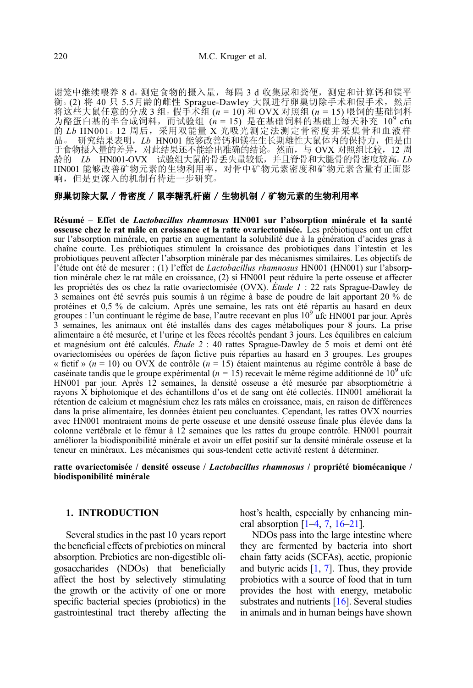谢笼中继续喂养 8 d。测定食物的摄入量, 每隔 3 d 收集尿和粪便, 测定和计算钙和镁平 衡。(2) 将 40 只 5.5月龄的雌性 Sprague-Dawley 大鼠进行卵巢切除手术和假手术,然后 将这些大鼠任意的分成 3 组。假手术组  $(n = 10)$  和 OVX 对照组  $(n = 15)$  喂饲的基础饲料 为酪蛋白基的半合成饲料,而试验组  $(n = 15)$  是在基础饲料的基础上每天补充 10<sup>9</sup> cfu 的 Lb HN001。12 周后, 采用双能量 X 光吸光测定法测定骨密度并采集骨和血液样 品。 研究结果表明, Lb HN001 能够改善钙和镁在生长期雄性大鼠体内的保持力, 但是由 开食物摄入量的差异, 对此结果还不能给出准确的结论。然而, 与 OVX 对照组比较, 12 周 龄的  $Lb$  HN001-OVX 试验组大鼠的骨丢失量较低,并且脊骨和大腿骨的骨密度较高。 $Lb$ HN001 能够改善矿物元素的生物利用率,对骨中矿物元素密度和矿物元素含量有正面影 响,但是更深入的机制有待进一步研究○

# 卵巢切除大鼠 / 骨密度 / 鼠李糖乳杆菌 / 生物机制 / 矿物元素的生物利用率

Résumé – Effet de Lactobacillus rhamnosus HN001 sur l'absorption minérale et la santé osseuse chez le rat mâle en croissance et la ratte ovariectomisée. Les prébiotiques ont un effet sur l'absorption minérale, en partie en augmentant la solubilité due à la génération d'acides gras à chaîne courte. Les prébiotiques stimulent la croissance des probiotiques dans l'intestin et les probiotiques peuvent affecter l'absorption minérale par des mécanismes similaires. Les objectifs de l'étude ont été de mesurer : (1) l'effet de Lactobacillus rhamnosus HN001 (HN001) sur l'absorption minérale chez le rat mâle en croissance, (2) si HN001 peut réduire la perte osseuse et affecter les propriétés des os chez la ratte ovariectomisée (OVX). Étude 1 : 22 rats Sprague-Dawley de 3 semaines ont été sevrés puis soumis à un régime à base de poudre de lait apportant 20 % de protéines et 0,5 % de calcium. Après une semaine, les rats ont été répartis au hasard en deux<br>groupes : l'un continuant le régime de base, l'autre recevant en plus 10<sup>9</sup> ufc HN001 par jour. Après 3 semaines, les animaux ont été installés dans des cages métaboliques pour 8 jours. La prise alimentaire a été mesurée, et l'urine et les fèces récoltés pendant 3 jours. Les équilibres en calcium et magnésium ont été calculés. Étude 2 : 40 rattes Sprague-Dawley de 5 mois et demi ont été ovariectomisées ou opérées de façon fictive puis réparties au hasard en 3 groupes. Les groupes « fictif » ( $n = 10$ ) ou OVX de contrôle ( $n = 15$ ) étaient maintenus au régime contrôle à base de caséinate tandis que le groupe expérimental ( $n = 15$ ) recevait le même régime additionné de  $10<sup>9</sup>$  ufc HN001 par jour. Après 12 semaines, la densité osseuse a été mesurée par absorptiométrie à rayons X biphotonique et des échantillons d'os et de sang ont été collectés. HN001 améliorait la rétention de calcium et magnésium chez les rats mâles en croissance, mais, en raison de différences dans la prise alimentaire, les données étaient peu concluantes. Cependant, les rattes OVX nourries avec HN001 montraient moins de perte osseuse et une densité osseuse finale plus élevée dans la colonne vertébrale et le fémur à 12 semaines que les rattes du groupe contrôle. HN001 pourrait améliorer la biodisponibilité minérale et avoir un effet positif sur la densité minérale osseuse et la teneur en minéraux. Les mécanismes qui sous-tendent cette activité restent à déterminer.

#### ratte ovariectomisée / densité osseuse / Lactobacillus rhamnosus / propriété biomécanique / biodisponibilité minérale

# 1. INTRODUCTION

Several studies in the past 10 years report the beneficial effects of prebiotics on mineral absorption. Prebiotics are non-digestible oligosaccharides (NDOs) that beneficially affect the host by selectively stimulating the growth or the activity of one or more specific bacterial species (probiotics) in the gastrointestinal tract thereby affecting the host's health, especially by enhancing mineral absorption  $[1–4, 7, 16–21]$  $[1–4, 7, 16–21]$  $[1–4, 7, 16–21]$  $[1–4, 7, 16–21]$  $[1–4, 7, 16–21]$  $[1–4, 7, 16–21]$  $[1–4, 7, 16–21]$  $[1–4, 7, 16–21]$  $[1–4, 7, 16–21]$  $[1–4, 7, 16–21]$ .

NDOs pass into the large intestine where they are fermented by bacteria into short chain fatty acids (SCFAs), acetic, propionic and butyric acids [\[1](#page-11-0), [7](#page-12-0)]. Thus, they provide probiotics with a source of food that in turn provides the host with energy, metabolic substrates and nutrients [[16](#page-12-0)]. Several studies in animals and in human beings have shown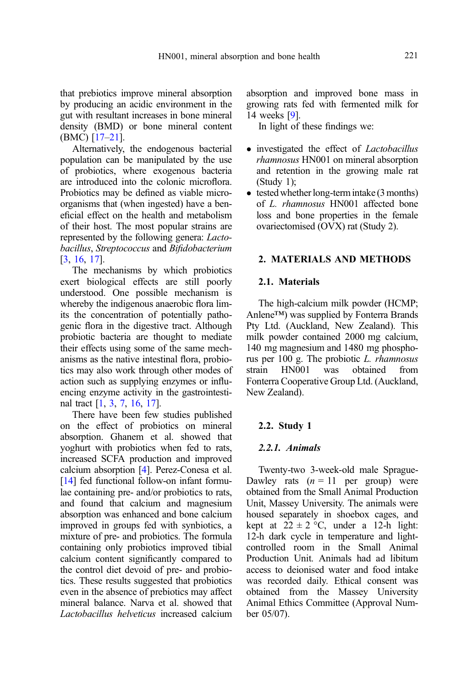that prebiotics improve mineral absorption by producing an acidic environment in the gut with resultant increases in bone mineral density (BMD) or bone mineral content (BMC) [[17](#page-12-0)–[21](#page-12-0)].

Alternatively, the endogenous bacterial population can be manipulated by the use of probiotics, where exogenous bacteria are introduced into the colonic microflora. Probiotics may be defined as viable microorganisms that (when ingested) have a beneficial effect on the health and metabolism of their host. The most popular strains are represented by the following genera: Lactobacillus, Streptococcus and Bifidobacterium [[3](#page-11-0), [16,](#page-12-0) [17](#page-12-0)].

The mechanisms by which probiotics exert biological effects are still poorly understood. One possible mechanism is whereby the indigenous anaerobic flora limits the concentration of potentially pathogenic flora in the digestive tract. Although probiotic bacteria are thought to mediate their effects using some of the same mechanisms as the native intestinal flora, probiotics may also work through other modes of action such as supplying enzymes or influencing enzyme activity in the gastrointestinal tract [[1](#page-11-0), [3,](#page-11-0) [7](#page-12-0), [16,](#page-12-0) [17](#page-12-0)].

There have been few studies published on the effect of probiotics on mineral absorption. Ghanem et al. showed that yoghurt with probiotics when fed to rats, increased SCFA production and improved calcium absorption [\[4](#page-11-0)]. Perez-Conesa et al. [[14](#page-12-0)] fed functional follow-on infant formulae containing pre- and/or probiotics to rats, and found that calcium and magnesium absorption was enhanced and bone calcium improved in groups fed with synbiotics, a mixture of pre- and probiotics. The formula containing only probiotics improved tibial calcium content significantly compared to the control diet devoid of pre- and probiotics. These results suggested that probiotics even in the absence of prebiotics may affect mineral balance. Narva et al. showed that Lactobacillus helveticus increased calcium absorption and improved bone mass in growing rats fed with fermented milk for 14 weeks [\[9](#page-12-0)].

In light of these findings we:

- investigated the effect of *Lactobacillus* rhamnosus HN001 on mineral absorption and retention in the growing male rat  $(Study 1):$
- tested whether long-term intake (3 months) of L. rhamnosus HN001 affected bone loss and bone properties in the female ovariectomised (OVX) rat (Study 2).

# 2. MATERIALS AND METHODS

# 2.1. Materials

The high-calcium milk powder (HCMP; Anlene™) was supplied by Fonterra Brands Pty Ltd. (Auckland, New Zealand). This milk powder contained 2000 mg calcium, 140 mg magnesium and 1480 mg phosphorus per 100 g. The probiotic L. rhamnosus<br>strain HN001 was obtained from strain HN001 was obtained from Fonterra Cooperative Group Ltd. (Auckland, New Zealand).

#### 2.2. Study 1

# 2.2.1. Animals

Twenty-two 3-week-old male Sprague-Dawley rats  $(n = 11$  per group) were obtained from the Small Animal Production Unit, Massey University. The animals were housed separately in shoebox cages, and kept at  $22 \pm 2$  °C, under a 12-h light: 12-h dark cycle in temperature and lightcontrolled room in the Small Animal Production Unit. Animals had ad libitum access to deionised water and food intake was recorded daily. Ethical consent was obtained from the Massey University Animal Ethics Committee (Approval Number 05/07).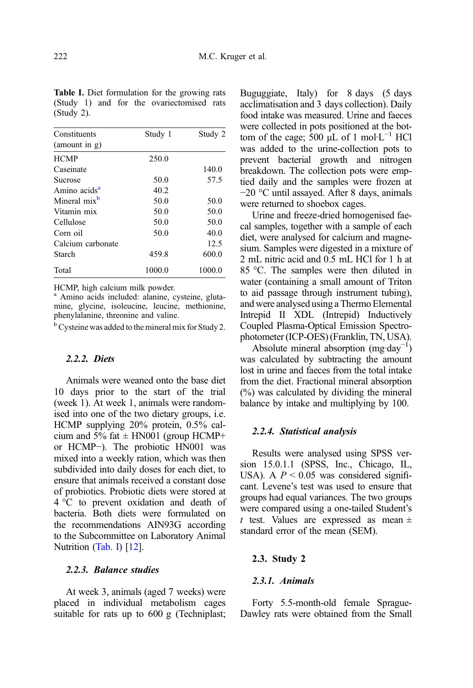| Constituents             | Study 1 | Study 2 |
|--------------------------|---------|---------|
| (amount in g)            |         |         |
| <b>HCMP</b>              | 250.0   |         |
| Caseinate                |         | 140.0   |
| Sucrose                  | 50.0    | 57.5    |
| Amino acids <sup>a</sup> | 40.2    |         |
| Mineral mix <sup>b</sup> | 50.0    | 50.0    |
| Vitamin mix              | 50.0    | 50.0    |
| Cellulose                | 50.0    | 50.0    |
| Corn oil                 | 50.0    | 40.0    |
| Calcium carbonate        |         | 12.5    |
| Starch                   | 459.8   | 600.0   |
| Total                    | 1000.0  | 1000.0  |

<span id="page-3-0"></span>Table I. Diet formulation for the growing rats (Study 1) and for the ovariectomised rats (Study 2).

HCMP, high calcium milk powder.

<sup>a</sup> Amino acids included: alanine, cysteine, glutamine, glycine, isoleucine, leucine, methionine, phenylalanine, threonine and valine.

 $b^b$  Cysteine was added to the mineral mix for Study 2.

# 2.2.2. Diets

Animals were weaned onto the base diet 10 days prior to the start of the trial (week 1). At week 1, animals were randomised into one of the two dietary groups, i.e. HCMP supplying 20% protein, 0.5% calcium and 5% fat  $\pm$  HN001 (group HCMP+ or HCMP−). The probiotic HN001 was mixed into a weekly ration, which was then subdivided into daily doses for each diet, to ensure that animals received a constant dose of probiotics. Probiotic diets were stored at 4 °C to prevent oxidation and death of bacteria. Both diets were formulated on the recommendations AIN93G according to the Subcommittee on Laboratory Animal Nutrition (Tab. I) [\[12\]](#page-12-0).

# 2.2.3. Balance studies

At week 3, animals (aged 7 weeks) were placed in individual metabolism cages suitable for rats up to 600 g (Techniplast; Buguggiate, Italy) for 8 days (5 days acclimatisation and 3 days collection). Daily food intake was measured. Urine and faeces were collected in pots positioned at the bottom of the cage;  $500 \mu L$  of 1 mol·L<sup>-1</sup> HCl was added to the urine-collection pots to prevent bacterial growth and nitrogen breakdown. The collection pots were emptied daily and the samples were frozen at −20 °C until assayed. After 8 days, animals were returned to shoebox cages.

Urine and freeze-dried homogenised faecal samples, together with a sample of each diet, were analysed for calcium and magnesium. Samples were digested in a mixture of 2 mL nitric acid and 0.5 mL HCl for 1 h at 85 °C. The samples were then diluted in water (containing a small amount of Triton to aid passage through instrument tubing), and were analysed using a Thermo Elemental Intrepid II XDL (Intrepid) Inductively Coupled Plasma-Optical Emission Spectrophotometer (ICP-OES) (Franklin, TN, USA).

Absolute mineral absorption  $(mg \cdot day^{-1})$ was calculated by subtracting the amount lost in urine and faeces from the total intake from the diet. Fractional mineral absorption (%) was calculated by dividing the mineral balance by intake and multiplying by 100.

#### 2.2.4. Statistical analysis

Results were analysed using SPSS version 15.0.1.1 (SPSS, Inc., Chicago, IL, USA). A  $P < 0.05$  was considered significant. Levene's test was used to ensure that groups had equal variances. The two groups were compared using a one-tailed Student's t test. Values are expressed as mean  $\pm$ standard error of the mean (SEM).

# 2.3. Study 2

# 2.3.1. Animals

Forty 5.5-month-old female Sprague-Dawley rats were obtained from the Small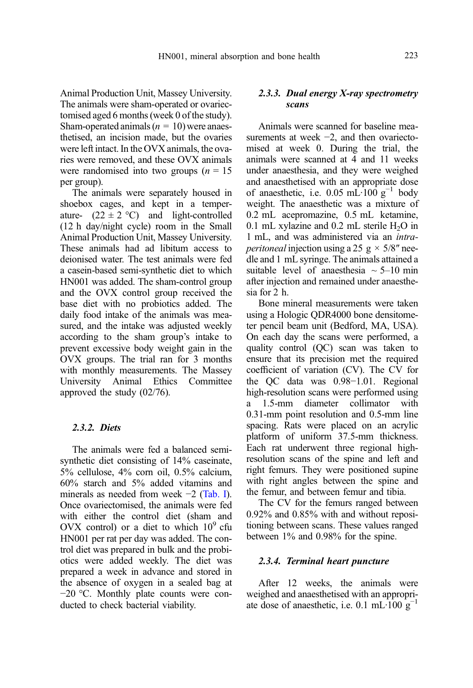Animal Production Unit, Massey University. The animals were sham-operated or ovariectomised aged 6 months (week 0 of the study). Sham-operated animals  $(n = 10)$  were anaesthetised, an incision made, but the ovaries were left intact. In the OVX animals, the ovaries were removed, and these OVX animals were randomised into two groups  $(n = 15$ per group).

The animals were separately housed in shoebox cages, and kept in a temperature-  $(22 \pm 2 \degree C)$  and light-controlled (12 h day/night cycle) room in the Small Animal Production Unit, Massey University. These animals had ad libitum access to deionised water. The test animals were fed a casein-based semi-synthetic diet to which HN001 was added. The sham-control group and the OVX control group received the base diet with no probiotics added. The daily food intake of the animals was measured, and the intake was adjusted weekly according to the sham group's intake to prevent excessive body weight gain in the OVX groups. The trial ran for 3 months with monthly measurements. The Massey University Animal Ethics Committee approved the study (02/76).

# 2.3.2. Diets

The animals were fed a balanced semisynthetic diet consisting of 14% caseinate, 5% cellulose, 4% corn oil, 0.5% calcium, 60% starch and 5% added vitamins and minerals as needed from week −2 ([Tab. I](#page-3-0)). Once ovariectomised, the animals were fed with either the control diet (sham and OVX control) or a diet to which  $10^9$  cfu HN001 per rat per day was added. The control diet was prepared in bulk and the probiotics were added weekly. The diet was prepared a week in advance and stored in the absence of oxygen in a sealed bag at −20 °C. Monthly plate counts were conducted to check bacterial viability.

# 2.3.3. Dual energy X-ray spectrometry scans

Animals were scanned for baseline measurements at week −2, and then ovariectomised at week 0. During the trial, the animals were scanned at 4 and 11 weeks under anaesthesia, and they were weighed and anaesthetised with an appropriate dose of anaesthetic, i.e. 0.05 mL·100  $g^{-1}$  body weight. The anaesthetic was a mixture of 0.2 mL acepromazine, 0.5 mL ketamine, 0.1 mL xylazine and 0.2 mL sterile  $H_2O$  in 1 mL, and was administered via an intra*peritoneal* injection using a 25 g  $\times$  5/8" needle and 1 mL syringe. The animals attained a suitable level of anaesthesia  $\sim$  5–10 min after injection and remained under anaesthesia for 2 h.

Bone mineral measurements were taken using a Hologic QDR4000 bone densitometer pencil beam unit (Bedford, MA, USA). On each day the scans were performed, a quality control (QC) scan was taken to ensure that its precision met the required coefficient of variation (CV). The CV for the QC data was 0.98−1.01. Regional high-resolution scans were performed using a 1.5-mm diameter collimator with 0.31-mm point resolution and 0.5-mm line spacing. Rats were placed on an acrylic platform of uniform 37.5-mm thickness. Each rat underwent three regional highresolution scans of the spine and left and right femurs. They were positioned supine with right angles between the spine and the femur, and between femur and tibia.

The CV for the femurs ranged between 0.92% and 0.85% with and without repositioning between scans. These values ranged between 1% and 0.98% for the spine.

#### 2.3.4. Terminal heart puncture

After 12 weeks, the animals were weighed and anaesthetised with an appropriate dose of anaesthetic, i.e. 0.1 mL·100  $g^{-1}$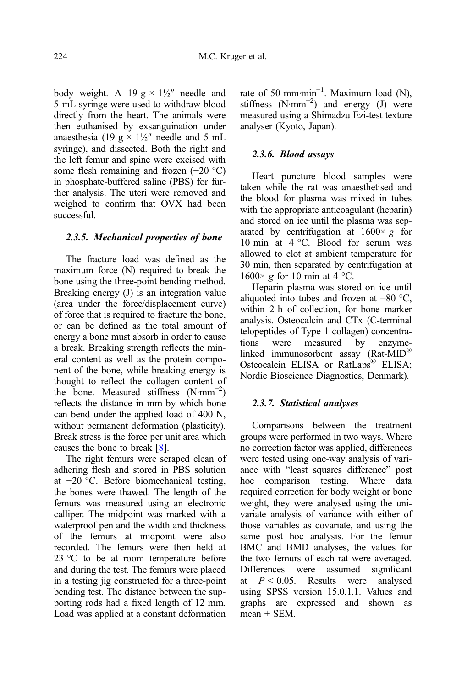body weight. A 19  $g \times 1\frac{1}{2}$  needle and 5 mL syringe were used to withdraw blood directly from the heart. The animals were then euthanised by exsanguination under anaesthesia (19 g  $\times$  1½" needle and 5 mL syringe), and dissected. Both the right and the left femur and spine were excised with some flesh remaining and frozen (−20 °C) in phosphate-buffered saline (PBS) for further analysis. The uteri were removed and weighed to confirm that OVX had been successful.

#### 2.3.5. Mechanical properties of bone

The fracture load was defined as the maximum force (N) required to break the bone using the three-point bending method. Breaking energy (J) is an integration value (area under the force/displacement curve) of force that is required to fracture the bone, or can be defined as the total amount of energy a bone must absorb in order to cause a break. Breaking strength reflects the mineral content as well as the protein component of the bone, while breaking energy is thought to reflect the collagen content of the bone. Measured stiffness  $(N·mm<sup>-2</sup>)$ reflects the distance in mm by which bone can bend under the applied load of 400 N, without permanent deformation (plasticity). Break stress is the force per unit area which causes the bone to break [\[8\]](#page-12-0).

The right femurs were scraped clean of adhering flesh and stored in PBS solution at −20 °C. Before biomechanical testing, the bones were thawed. The length of the femurs was measured using an electronic calliper. The midpoint was marked with a waterproof pen and the width and thickness of the femurs at midpoint were also recorded. The femurs were then held at 23 °C to be at room temperature before and during the test. The femurs were placed in a testing jig constructed for a three-point bending test. The distance between the supporting rods had a fixed length of 12 mm. Load was applied at a constant deformation

rate of 50 mm·min<sup>-1</sup>. Maximum load (N), stiffness  $(N·mm<sup>-2</sup>)$  and energy (J) were measured using a Shimadzu Ezi-test texture analyser (Kyoto, Japan).

# 2.3.6. Blood assays

Heart puncture blood samples were taken while the rat was anaesthetised and the blood for plasma was mixed in tubes with the appropriate anticoagulant (heparin) and stored on ice until the plasma was separated by centrifugation at  $1600 \times g$  for 10 min at 4 °C. Blood for serum was allowed to clot at ambient temperature for 30 min, then separated by centrifugation at  $1600 \times g$  for 10 min at 4 °C.

Heparin plasma was stored on ice until aliquoted into tubes and frozen at −80 °C, within 2 h of collection, for bone marker analysis. Osteocalcin and CTx (C-terminal telopeptides of Type 1 collagen) concentrations were measured by enzymelinked immunosorbent assay (Rat-MID® Osteocalcin ELISA or RatLaps<sup>®</sup> ELISA; Nordic Bioscience Diagnostics, Denmark).

#### 2.3.7. Statistical analyses

Comparisons between the treatment groups were performed in two ways. Where no correction factor was applied, differences were tested using one-way analysis of variance with "least squares difference" post hoc comparison testing. Where data required correction for body weight or bone weight, they were analysed using the univariate analysis of variance with either of those variables as covariate, and using the same post hoc analysis. For the femur BMC and BMD analyses, the values for the two femurs of each rat were averaged. Differences were assumed significant at  $P < 0.05$ . Results were analysed using SPSS version 15.0.1.1. Values and graphs are expressed and shown as  $mean \pm SEM$ .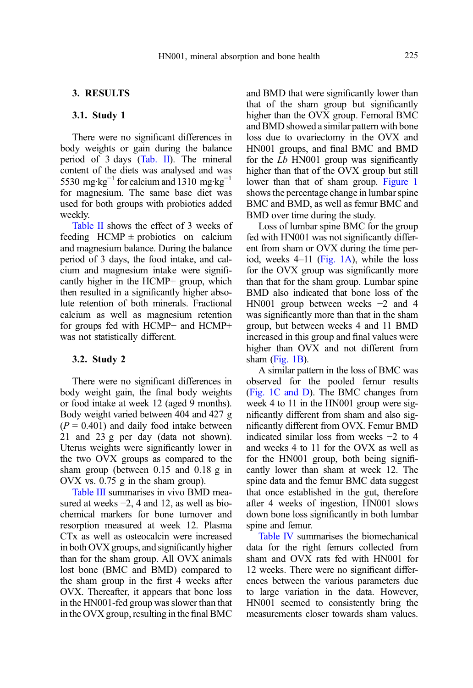# 3. RESULTS

#### 3.1. Study 1

There were no significant differences in body weights or gain during the balance period of 3 days [\(Tab. II\)](#page-7-0). The mineral content of the diets was analysed and was 5530 mg·kg<sup>-1</sup> for calcium and 1310 mg·kg<sup>-1</sup> for magnesium. The same base diet was used for both groups with probiotics added weekly.

[Table II](#page-7-0) shows the effect of 3 weeks of feeding  $HCMP \pm$  probiotics on calcium and magnesium balance. During the balance period of 3 days, the food intake, and calcium and magnesium intake were significantly higher in the HCMP+ group, which then resulted in a significantly higher absolute retention of both minerals. Fractional calcium as well as magnesium retention for groups fed with HCMP− and HCMP+ was not statistically different.

#### 3.2. Study 2

There were no significant differences in body weight gain, the final body weights or food intake at week 12 (aged 9 months). Body weight varied between 404 and 427 g  $(P = 0.401)$  and daily food intake between 21 and 23 g per day (data not shown). Uterus weights were significantly lower in the two OVX groups as compared to the sham group (between 0.15 and 0.18 g in OVX vs. 0.75 g in the sham group).

[Table III](#page-7-0) summarises in vivo BMD measured at weeks −2, 4 and 12, as well as biochemical markers for bone turnover and resorption measured at week 12. Plasma CTx as well as osteocalcin were increased in both OVX groups, and significantly higher than for the sham group. All OVX animals lost bone (BMC and BMD) compared to the sham group in the first 4 weeks after OVX. Thereafter, it appears that bone loss in the HN001-fed group was slower than that in the OVX group, resulting in the final BMC

and BMD that were significantly lower than that of the sham group but significantly higher than the OVX group. Femoral BMC and BMD showed a similar pattern with bone loss due to ovariectomy in the OVX and HN001 groups, and final BMC and BMD for the Lb HN001 group was significantly higher than that of the OVX group but still lower than that of sham group. [Figure 1](#page-8-0) shows the percentage change in lumbar spine BMC and BMD, as well as femur BMC and BMD over time during the study.

Loss of lumbar spine BMC for the group fed with HN001 was not significantly different from sham or OVX during the time period, weeks 4–11 [\(Fig. 1A](#page-8-0)), while the loss for the OVX group was significantly more than that for the sham group. Lumbar spine BMD also indicated that bone loss of the HN001 group between weeks −2 and 4 was significantly more than that in the sham group, but between weeks 4 and 11 BMD increased in this group and final values were higher than OVX and not different from sham ([Fig. 1B](#page-8-0)).

A similar pattern in the loss of BMC was observed for the pooled femur results ([Fig. 1C and D](#page-8-0)). The BMC changes from week 4 to 11 in the HN001 group were significantly different from sham and also significantly different from OVX. Femur BMD indicated similar loss from weeks −2 to 4 and weeks 4 to 11 for the OVX as well as for the HN001 group, both being significantly lower than sham at week 12. The spine data and the femur BMC data suggest that once established in the gut, therefore after 4 weeks of ingestion, HN001 slows down bone loss significantly in both lumbar spine and femur.

[Table IV](#page-9-0) summarises the biomechanical data for the right femurs collected from sham and OVX rats fed with HN001 for 12 weeks. There were no significant differences between the various parameters due to large variation in the data. However, HN001 seemed to consistently bring the measurements closer towards sham values.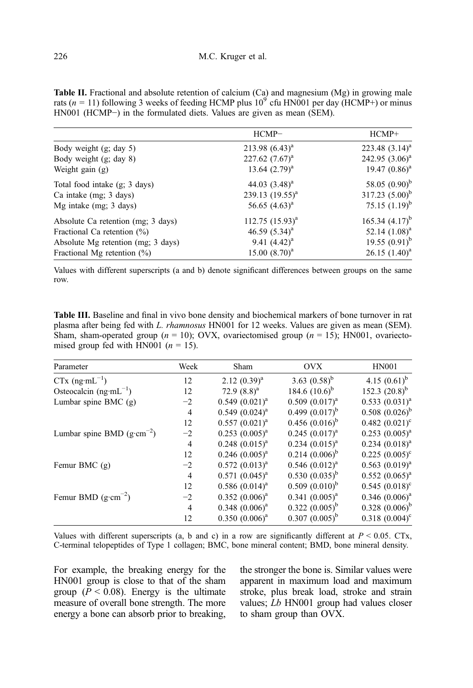|                                    | $HCMP-$                | $HCMP+$             |
|------------------------------------|------------------------|---------------------|
| Body weight $(g; day 5)$           | $213.98~(6.43)^a$      | 223.48 $(3.14)^a$   |
| Body weight $(g; day 8)$           | $227.62$ $(7.67)^a$    | $242.95 (3.06)^a$   |
| Weight gain $(g)$                  | 13.64 $(2.79)^a$       | 19.47 $(0.86)^a$    |
| Total food intake (g; 3 days)      | 44.03 $(3.48)^a$       | 58.05 $(0.90)^b$    |
| Ca intake (mg; 3 days)             | 239.13 $(19.55)^{a}$   | 317.23 $(5.00)^b$   |
| Mg intake $(mg; 3 days)$           | 56.65 $(4.63)^a$       | 75.15 $(1.19)^{b}$  |
| Absolute Ca retention (mg; 3 days) | $112.75$ $(15.93)^{a}$ | 165.34 $(4.17)^{b}$ |
| Fractional Ca retention $(\% )$    | 46.59 $(5.34)^a$       | 52.14 $(1.08)^a$    |
| Absolute Mg retention (mg; 3 days) | 9.41 $(4.42)^a$        | 19.55 $(0.91)^b$    |
| Fractional Mg retention $(\%)$     | $15.00~(8.70)^a$       | $26.15$ $(1.40)^a$  |

<span id="page-7-0"></span>Table II. Fractional and absolute retention of calcium (Ca) and magnesium (Mg) in growing male rats ( $n = 11$ ) following 3 weeks of feeding HCMP plus  $10^{9}$  cfu HN001 per day (HCMP+) or minus HN001 (HCMP−) in the formulated diets. Values are given as mean (SEM).

Values with different superscripts (a and b) denote significant differences between groups on the same row.

Table III. Baseline and final in vivo bone density and biochemical markers of bone turnover in rat plasma after being fed with L. rhamnosus HN001 for 12 weeks. Values are given as mean (SEM). Sham, sham-operated group ( $n = 10$ ); OVX, ovariectomised group ( $n = 15$ ); HN001, ovariectomised group fed with HN001 ( $n = 15$ ).

| Parameter                            | Week           | Sham                  | <b>OVX</b>          | <b>HN001</b>           |  |
|--------------------------------------|----------------|-----------------------|---------------------|------------------------|--|
| $CTx$ (ng·mL <sup>-1</sup> )         | 12             | $2.12 (0.39)^a$       | 3.63 $(0.58)^{b}$   | 4.15 $(0.61)^{b}$      |  |
| Osteocalcin $(ng·mL^{-1})$           | 12             | 72.9 $(8.8)^a$        | 184.6 $(10.6)^b$    | 152.3 $(20.8)^{b}$     |  |
| Lumbar spine BMC (g)                 | $-2$           | $0.549(0.021)^a$      | $0.509(0.017)^{a}$  | $0.533(0.031)^a$       |  |
|                                      | $\overline{4}$ | $0.549(0.024)^{a}$    | $0.499(0.017)^b$    | $0.508~(0.026)^b$      |  |
|                                      | 12             | $0.557(0.021)^a$      | $0.456(0.016)^{b}$  | $0.482 (0.021)^c$      |  |
| Lumbar spine BMD $(g \cdot cm^{-2})$ | $-2$           | $0.253$ $(0.005)^{a}$ | $0.245(0.017)^{a}$  | $0.253$ $(0.005)^{a}$  |  |
|                                      | $\overline{4}$ | $0.248$ $(0.015)^a$   | $0.234 (0.015)^{a}$ | $0.234 (0.018)^a$      |  |
|                                      | 12             | $0.246~(0.005)^{a}$   | $0.214(0.006)^b$    | $0.225(0.005)^{\circ}$ |  |
| Femur BMC $(g)$                      | $-2$           | $0.572 (0.013)^{a}$   | $0.546 (0.012)^{a}$ | $0.563$ $(0.019)^a$    |  |
|                                      | $\overline{4}$ | $0.571(0.045)^{a}$    | $0.530(0.035)^{b}$  | $0.552(0.065)^{a}$     |  |
|                                      | 12             | $0.586(0.014)^{a}$    | $0.509 (0.010)^b$   | $0.545(0.018)^c$       |  |
| Femur BMD $(g \cdot cm^{-2})$        | $-2$           | $0.352(0.006)^{a}$    | $0.341(0.005)^{a}$  | $0.346~(0.006)^a$      |  |
|                                      | $\overline{4}$ | $0.348$ $(0.006)^a$   | $0.322 (0.005)^b$   | $0.328(0.006)^b$       |  |
|                                      | 12             | $0.350(0.006)^a$      | $0.307 (0.005)^{b}$ | $0.318(0.004)^c$       |  |

Values with different superscripts (a, b and c) in a row are significantly different at  $P < 0.05$ . CTx, C-terminal telopeptides of Type 1 collagen; BMC, bone mineral content; BMD, bone mineral density.

For example, the breaking energy for the HN001 group is close to that of the sham group ( $\overline{P}$  < 0.08). Energy is the ultimate measure of overall bone strength. The more energy a bone can absorb prior to breaking, the stronger the bone is. Similar values were apparent in maximum load and maximum stroke, plus break load, stroke and strain values; Lb HN001 group had values closer to sham group than OVX.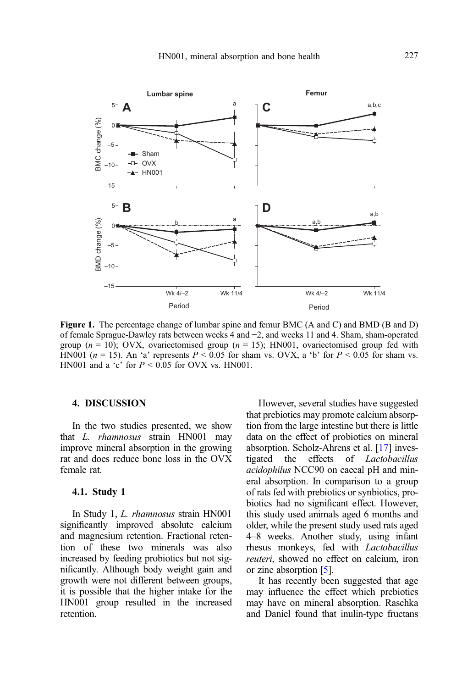<span id="page-8-0"></span>

Figure 1. The percentage change of lumbar spine and femur BMC (A and C) and BMD (B and D) of female Sprague-Dawley rats between weeks 4 and −2, and weeks 11 and 4. Sham, sham-operated group ( $n = 10$ ); OVX, ovariectomised group ( $n = 15$ ); HN001, ovariectomised group fed with HN001 ( $n = 15$ ). An 'a' represents  $P \le 0.05$  for sham vs. OVX, a 'b' for  $P \le 0.05$  for sham vs. HN001 and a 'c' for  $P \le 0.05$  for OVX vs. HN001.

# 4. DISCUSSION

In the two studies presented, we show that L. rhamnosus strain HN001 may improve mineral absorption in the growing rat and does reduce bone loss in the OVX female rat.

# 4.1. Study 1

In Study 1, L. rhamnosus strain HN001 significantly improved absolute calcium and magnesium retention. Fractional retention of these two minerals was also increased by feeding probiotics but not significantly. Although body weight gain and growth were not different between groups, it is possible that the higher intake for the HN001 group resulted in the increased retention.

However, several studies have suggested that prebiotics may promote calcium absorption from the large intestine but there is little data on the effect of probiotics on mineral absorption. Scholz-Ahrens et al. [[17](#page-12-0)] investigated the effects of Lactobacillus acidophilus NCC90 on caecal pH and mineral absorption. In comparison to a group of rats fed with prebiotics or synbiotics, probiotics had no significant effect. However, this study used animals aged 6 months and older, while the present study used rats aged 4–8 weeks. Another study, using infant rhesus monkeys, fed with Lactobacillus reuteri, showed no effect on calcium, iron or zinc absorption [\[5\]](#page-11-0).

It has recently been suggested that age may influence the effect which prebiotics may have on mineral absorption. Raschka and Daniel found that inulin-type fructans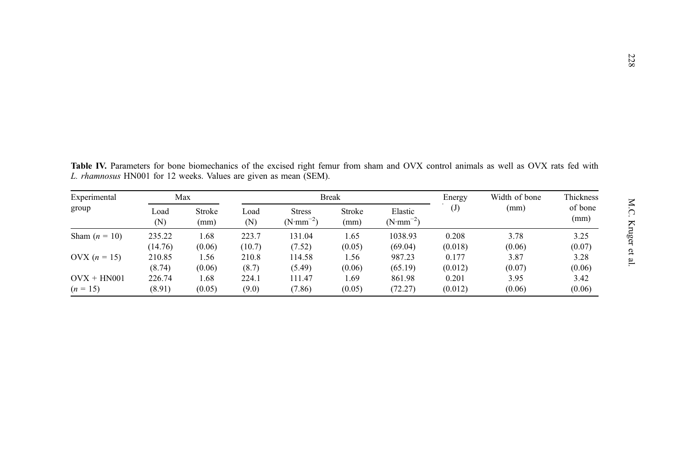| Experimental<br>group | Max         |                | <b>Break</b> |                                             |                |                                       | Energy    | Width of bone | Thickness       |
|-----------------------|-------------|----------------|--------------|---------------------------------------------|----------------|---------------------------------------|-----------|---------------|-----------------|
|                       | Load<br>(N) | Stroke<br>(mm) | Load<br>(N)  | <b>Stress</b><br>$(N \cdot \text{mm}^{-2})$ | Stroke<br>(mm) | Elastic<br>$(N \cdot \text{mm}^{-2})$ | $\rm (J)$ | (mm)          | of bone<br>(mm) |
| Sham $(n = 10)$       | 235.22      | 1.68           | 223.7        | 131.04                                      | 1.65           | 1038.93                               | 0.208     | 3.78          | 3.25            |
|                       | (14.76)     | (0.06)         | (10.7)       | (7.52)                                      | (0.05)         | (69.04)                               | (0.018)   | (0.06)        | (0.07)          |
| OVX $(n = 15)$        | 210.85      | 1.56           | 210.8        | 114.58                                      | 1.56           | 987.23                                | 0.177     | 3.87          | 3.28            |
|                       | (8.74)      | (0.06)         | (8.7)        | (5.49)                                      | (0.06)         | (65.19)                               | (0.012)   | (0.07)        | (0.06)          |
| $OUX + HN001$         | 226.74      | 1.68           | 224.1        | 111.47                                      | 1.69           | 861.98                                | 0.201     | 3.95          | 3.42            |
| $(n = 15)$            | (8.91)      | (0.05)         | (9.0)        | (7.86)                                      | (0.05)         | (72.27)                               | (0.012)   | (0.06)        | (0.06)          |

<span id="page-9-0"></span>Table IV. Parameters for bone biomechanics of the excised right femur from sham and OVX control animals as well as OVX rats fed with L. rhamnosus HN001 for 12 weeks. Values are given as mean (SEM).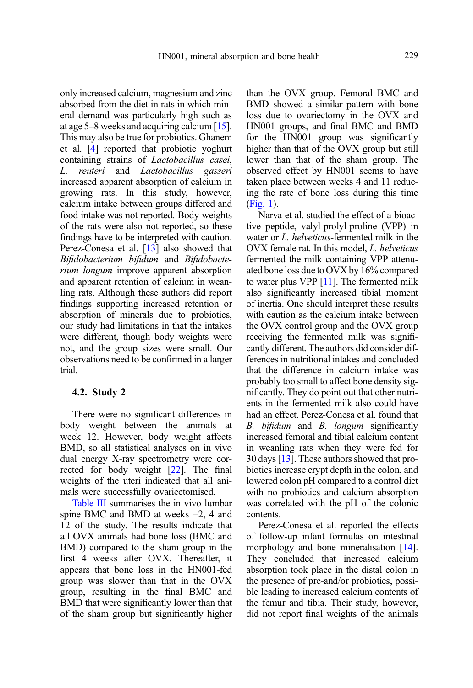only increased calcium, magnesium and zinc absorbed from the diet in rats in which mineral demand was particularly high such as at age 5–8 weeks and acquiring calcium [\[15](#page-12-0)]. This may also be true for probiotics. Ghanem et al. [\[4](#page-11-0)] reported that probiotic yoghurt containing strains of Lactobacillus casei, L. reuteri and Lactobacillus gasseri increased apparent absorption of calcium in growing rats. In this study, however, calcium intake between groups differed and food intake was not reported. Body weights of the rats were also not reported, so these findings have to be interpreted with caution. Perez-Conesa et al. [\[13](#page-12-0)] also showed that Bifidobacterium bifidum and Bifidobacterium longum improve apparent absorption and apparent retention of calcium in weanling rats. Although these authors did report findings supporting increased retention or absorption of minerals due to probiotics, our study had limitations in that the intakes were different, though body weights were not, and the group sizes were small. Our observations need to be confirmed in a larger trial.

# 4.2. Study 2

There were no significant differences in body weight between the animals at week 12. However, body weight affects BMD, so all statistical analyses on in vivo dual energy X-ray spectrometry were corrected for body weight [\[22\]](#page-12-0). The final weights of the uteri indicated that all animals were successfully ovariectomised.

[Table III](#page-7-0) summarises the in vivo lumbar spine BMC and BMD at weeks −2, 4 and 12 of the study. The results indicate that all OVX animals had bone loss (BMC and BMD) compared to the sham group in the first 4 weeks after OVX. Thereafter, it appears that bone loss in the HN001-fed group was slower than that in the OVX group, resulting in the final BMC and BMD that were significantly lower than that of the sham group but significantly higher than the OVX group. Femoral BMC and BMD showed a similar pattern with bone loss due to ovariectomy in the OVX and HN001 groups, and final BMC and BMD for the HN001 group was significantly higher than that of the OVX group but still lower than that of the sham group. The observed effect by HN001 seems to have taken place between weeks 4 and 11 reducing the rate of bone loss during this time ([Fig. 1](#page-8-0)).

Narva et al. studied the effect of a bioactive peptide, valyl-prolyl-proline (VPP) in water or L. helveticus-fermented milk in the OVX female rat. In this model, L. helveticus fermented the milk containing VPP attenuated bone loss dueto OVX by 16% compared to water plus VPP [[11](#page-12-0)]. The fermented milk also significantly increased tibial moment of inertia. One should interpret these results with caution as the calcium intake between the OVX control group and the OVX group receiving the fermented milk was significantly different. The authors did consider differences in nutritional intakes and concluded that the difference in calcium intake was probably too small to affect bone density significantly. They do point out that other nutrients in the fermented milk also could have had an effect. Perez-Conesa et al. found that B. bifidum and B. longum significantly increased femoral and tibial calcium content in weanling rats when they were fed for 30 days [\[13\]](#page-12-0). These authors showed that probiotics increase crypt depth in the colon, and lowered colon pH compared to a control diet with no probiotics and calcium absorption was correlated with the pH of the colonic contents.

Perez-Conesa et al. reported the effects of follow-up infant formulas on intestinal morphology and bone mineralisation [[14](#page-12-0)]. They concluded that increased calcium absorption took place in the distal colon in the presence of pre-and/or probiotics, possible leading to increased calcium contents of the femur and tibia. Their study, however, did not report final weights of the animals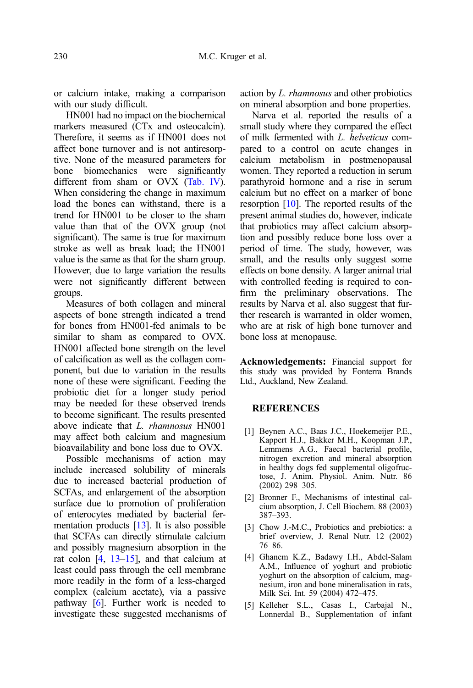<span id="page-11-0"></span>or calcium intake, making a comparison with our study difficult.

HN001 had no impact on the biochemical markers measured (CTx and osteocalcin). Therefore, it seems as if HN001 does not affect bone turnover and is not antiresorptive. None of the measured parameters for bone biomechanics were significantly different from sham or OVX [\(Tab. IV\)](#page-9-0). When considering the change in maximum load the bones can withstand, there is a trend for HN001 to be closer to the sham value than that of the OVX group (not significant). The same is true for maximum stroke as well as break load; the HN001 value is the same as that for the sham group. However, due to large variation the results were not significantly different between groups.

Measures of both collagen and mineral aspects of bone strength indicated a trend for bones from HN001-fed animals to be similar to sham as compared to OVX. HN001 affected bone strength on the level of calcification as well as the collagen component, but due to variation in the results none of these were significant. Feeding the probiotic diet for a longer study period may be needed for these observed trends to become significant. The results presented above indicate that L. rhamnosus HN001 may affect both calcium and magnesium bioavailability and bone loss due to OVX.

Possible mechanisms of action may include increased solubility of minerals due to increased bacterial production of SCFAs, and enlargement of the absorption surface due to promotion of proliferation of enterocytes mediated by bacterial fermentation products [\[13\]](#page-12-0). It is also possible that SCFAs can directly stimulate calcium and possibly magnesium absorption in the rat colon  $[4, 13-15]$  $[4, 13-15]$  $[4, 13-15]$  $[4, 13-15]$  $[4, 13-15]$ , and that calcium at least could pass through the cell membrane more readily in the form of a less-charged complex (calcium acetate), via a passive pathway [[6\]](#page-12-0). Further work is needed to investigate these suggested mechanisms of action by L. rhamnosus and other probiotics on mineral absorption and bone properties.

Narva et al. reported the results of a small study where they compared the effect of milk fermented with L. helveticus compared to a control on acute changes in calcium metabolism in postmenopausal women. They reported a reduction in serum parathyroid hormone and a rise in serum calcium but no effect on a marker of bone resorption [\[10\]](#page-12-0). The reported results of the present animal studies do, however, indicate that probiotics may affect calcium absorption and possibly reduce bone loss over a period of time. The study, however, was small, and the results only suggest some effects on bone density. A larger animal trial with controlled feeding is required to confirm the preliminary observations. The results by Narva et al. also suggest that further research is warranted in older women, who are at risk of high bone turnover and bone loss at menopause.

Acknowledgements: Financial support for this study was provided by Fonterra Brands Ltd., Auckland, New Zealand.

# **REFERENCES**

- [1] Beynen A.C., Baas J.C., Hoekemeijer P.E., Kappert H.J., Bakker M.H., Koopman J.P., Lemmens A.G., Faecal bacterial profile, nitrogen excretion and mineral absorption in healthy dogs fed supplemental oligofructose, J. Anim. Physiol. Anim. Nutr. 86 (2002) 298–305.
- [2] Bronner F., Mechanisms of intestinal calcium absorption, J. Cell Biochem. 88 (2003) 387–393.
- [3] Chow J.-M.C., Probiotics and prebiotics: a brief overview, J. Renal Nutr. 12 (2002) 76–86.
- [4] Ghanem K.Z., Badawy I.H., Abdel-Salam A.M., Influence of yoghurt and probiotic yoghurt on the absorption of calcium, magnesium, iron and bone mineralisation in rats, Milk Sci. Int. 59 (2004) 472–475.
- [5] Kelleher S.L., Casas I., Carbajal N., Lonnerdal B., Supplementation of infant